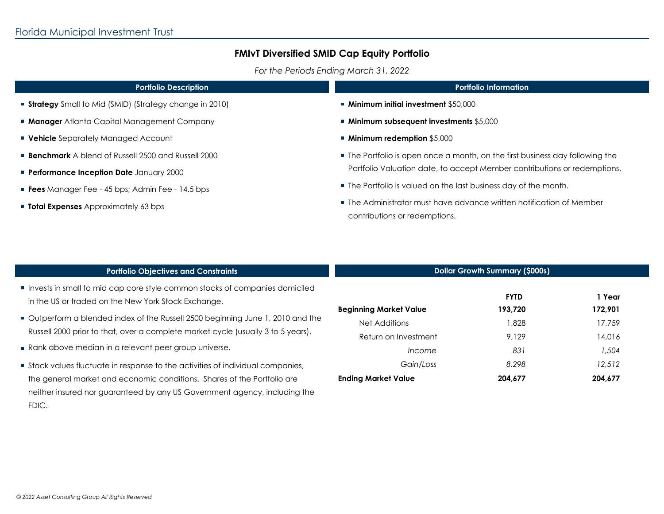*For the Periods Ending March 31, 2022*

| <b>Portfolio Description</b>                                                                                | <b>Portfolio Information</b>                                                                                                                                                                                                                                                                                                           |  |  |
|-------------------------------------------------------------------------------------------------------------|----------------------------------------------------------------------------------------------------------------------------------------------------------------------------------------------------------------------------------------------------------------------------------------------------------------------------------------|--|--|
| <b>Strategy</b> Small to Mid (SMID) (Strategy change in 2010)                                               | $\blacksquare$ Minimum initial investment \$50,000                                                                                                                                                                                                                                                                                     |  |  |
| <b>Manager</b> Atlanta Capital Management Company                                                           | ■ Minimum subsequent investments \$5,000                                                                                                                                                                                                                                                                                               |  |  |
| <b>Vehicle</b> Separately Managed Account                                                                   | $\blacksquare$ Minimum redemption \$5,000                                                                                                                                                                                                                                                                                              |  |  |
| <b>Benchmark</b> A blend of Russell 2500 and Russell 2000<br><b>Performance Inception Date January 2000</b> | ■ The Portfolio is open once a month, on the first business day following the<br>Portfolio Valuation date, to accept Member contributions or redemptions.<br>■ The Portfolio is valued on the last business day of the month.<br>■ The Administrator must have advance written notification of Member<br>contributions or redemptions. |  |  |
| <b>Fees</b> Manager Fee - 45 bps; Admin Fee - 14.5 bps                                                      |                                                                                                                                                                                                                                                                                                                                        |  |  |
| <b>Total Expenses</b> Approximately 63 bps                                                                  |                                                                                                                                                                                                                                                                                                                                        |  |  |
|                                                                                                             |                                                                                                                                                                                                                                                                                                                                        |  |  |

| <b>Portfolio Objectives and Constraints</b>                                                                                                                                                                                           | <b>Dollar Growth Summary (\$000s)</b>   |                        |                   |
|---------------------------------------------------------------------------------------------------------------------------------------------------------------------------------------------------------------------------------------|-----------------------------------------|------------------------|-------------------|
| Invests in small to mid cap core style common stocks of companies domiciled<br>in the US or traded on the New York Stock Exchange.                                                                                                    | <b>Beginning Market Value</b>           | <b>FYTD</b><br>193.720 | 1 Year<br>172,901 |
| ■ Outperform a blended index of the Russell 2500 beginning June 1, 2010 and the<br>Russell 2000 prior to that, over a complete market cycle (usually 3 to 5 years).                                                                   | Net Additions<br>Return on Investment   | .828<br>9.129          | 17,759<br>14,016  |
| Rank above median in a relevant peer group universe.                                                                                                                                                                                  | Income                                  | 831                    | 1,504             |
| Stock values fluctuate in response to the activities of individual companies,<br>the general market and economic conditions. Shares of the Portfolio are<br>neither insured nor guaranteed by any US Government agency, including the | Gain/Loss<br><b>Ending Market Value</b> | 8,298<br>204,677       | 12,512<br>204,677 |

FDIC.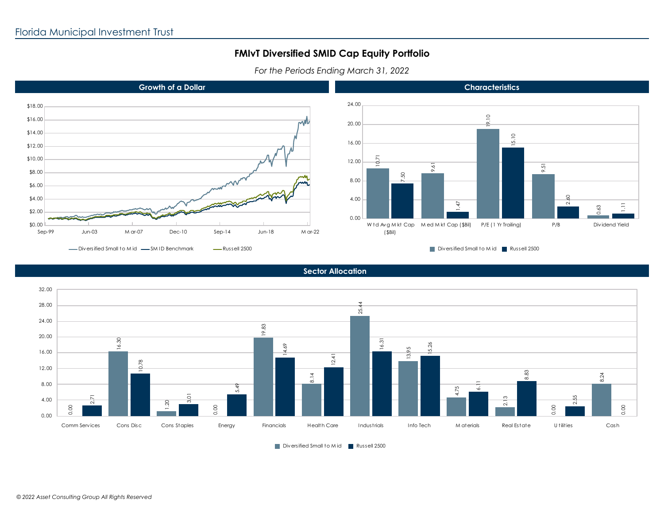*For the Periods Ending March 31, 2022*







Diversified Small to M id Russell 2500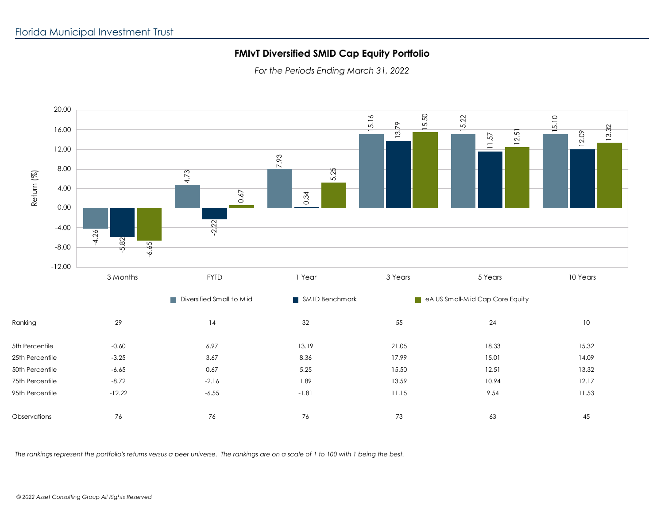*For the Periods Ending March 31, 2022*



*The rankings represent the portfolio's returns versus a peer universe. The rankings are on a scale of 1 to 100 with 1 being the best.*